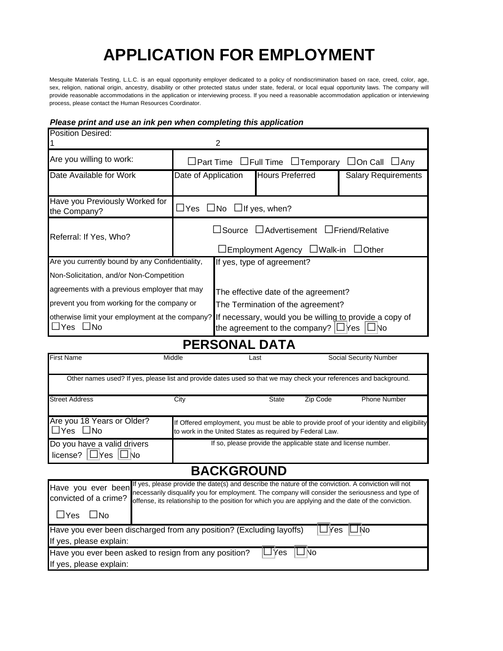# **APPLICATION FOR EMPLOYMENT**

Mesquite Materials Testing, L.L.C. is an equal opportunity employer dedicated to a policy of nondiscrimination based on race, creed, color, age, sex, religion, national origin, ancestry, disability or other protected status under state, federal, or local equal opportunity laws. The company will provide reasonable accommodations in the application or interviewing process. If you need a reasonable accommodation application or interviewing process, please contact the Human Resources Coordinator.

### *Please print and use an ink pen when completing this application*

| <b>Position Desired:</b>                        |                                                                                                 | 2                                                                                                                                                             |                            |                            |
|-------------------------------------------------|-------------------------------------------------------------------------------------------------|---------------------------------------------------------------------------------------------------------------------------------------------------------------|----------------------------|----------------------------|
| Are you willing to work:                        | $\Box$ Part Time $\Box$ Full Time $\Box$ Temporary $\Box$ On Call $\Box$ Any                    |                                                                                                                                                               |                            |                            |
| Date Available for Work                         | Date of Application                                                                             |                                                                                                                                                               | <b>Hours Preferred</b>     | <b>Salary Requirements</b> |
| Have you Previously Worked for<br>the Company?  | $\Box$ Yes $\Box$ No $\Box$ If yes, when?                                                       |                                                                                                                                                               |                            |                            |
| Referral: If Yes, Who?                          | $\Box$ Source $\Box$ Advertisement $\Box$ Friend/Relative<br>□Employment Agency □Walk-in □Other |                                                                                                                                                               |                            |                            |
| Are you currently bound by any Confidentiality, |                                                                                                 |                                                                                                                                                               | If yes, type of agreement? |                            |
| Non-Solicitation, and/or Non-Competition        |                                                                                                 |                                                                                                                                                               |                            |                            |
| agreements with a previous employer that may    |                                                                                                 | The effective date of the agreement?                                                                                                                          |                            |                            |
| prevent you from working for the company or     |                                                                                                 | The Termination of the agreement?                                                                                                                             |                            |                            |
| $\Box$ Yes $\Box$ No                            |                                                                                                 | otherwise limit your employment at the company? If necessary, would you be willing to provide a copy of<br>the agreement to the company? $\Box$ Yes $\Box$ No |                            |                            |

**PERSONAL DATA**

| <b>First Name</b>                                            | Middle                                                                                                                                                                                                                                                                                                          | Last                                                                                                                                                  | Social Security Number |                     |  |
|--------------------------------------------------------------|-----------------------------------------------------------------------------------------------------------------------------------------------------------------------------------------------------------------------------------------------------------------------------------------------------------------|-------------------------------------------------------------------------------------------------------------------------------------------------------|------------------------|---------------------|--|
|                                                              | Other names used? If yes, please list and provide dates used so that we may check your references and background.                                                                                                                                                                                               |                                                                                                                                                       |                        |                     |  |
| <b>Street Address</b>                                        | City                                                                                                                                                                                                                                                                                                            | <b>State</b>                                                                                                                                          | Zip Code               | <b>Phone Number</b> |  |
| Are you 18 Years or Older?<br>$\Box$ Yes $\Box$ No           |                                                                                                                                                                                                                                                                                                                 | If Offered employment, you must be able to provide proof of your identity and eligibility<br>to work in the United States as required by Federal Law. |                        |                     |  |
| Do you have a valid drivers<br>license? $\Box$ Yes $\Box$ No |                                                                                                                                                                                                                                                                                                                 | If so, please provide the applicable state and license number.                                                                                        |                        |                     |  |
|                                                              |                                                                                                                                                                                                                                                                                                                 | <b>BACKGROUND</b>                                                                                                                                     |                        |                     |  |
| Have you ever been<br>convicted of a crime?                  | If yes, please provide the date(s) and describe the nature of the conviction. A conviction will not<br>necessarily disqualify you for employment. The company will consider the seriousness and type of<br>offense, its relationship to the position for which you are applying and the date of the conviction. |                                                                                                                                                       |                        |                     |  |
| $\sqcup$ Yes<br>$\Box$ No                                    |                                                                                                                                                                                                                                                                                                                 |                                                                                                                                                       |                        |                     |  |
| If yes, please explain:                                      | Have you ever been discharged from any position? (Excluding layoffs)                                                                                                                                                                                                                                            |                                                                                                                                                       | Yes<br>lNo             |                     |  |
| If yes, please explain:                                      | Have you ever been asked to resign from any position?                                                                                                                                                                                                                                                           | ′es                                                                                                                                                   | No                     |                     |  |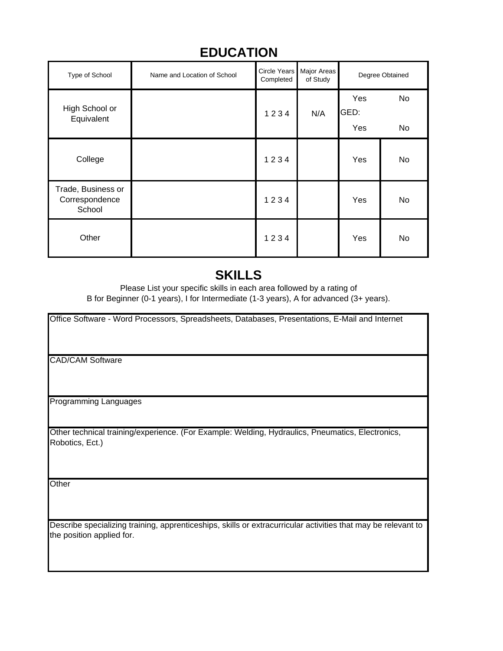| Type of School                                 | Name and Location of School | <b>Circle Years</b><br>Completed | Major Areas<br>of Study |                    | Degree Obtained |
|------------------------------------------------|-----------------------------|----------------------------------|-------------------------|--------------------|-----------------|
| High School or<br>Equivalent                   |                             | 1234                             | N/A                     | Yes<br>GED:<br>Yes | No<br>No        |
| College                                        |                             | 1234                             |                         | Yes                | No              |
| Trade, Business or<br>Correspondence<br>School |                             | 1234                             |                         | Yes                | No              |
| Other                                          |                             | 1234                             |                         | Yes                | No              |

### **EDUCATION**

### **SKILLS**

B for Beginner (0-1 years), I for Intermediate (1-3 years), A for advanced (3+ years). Please List your specific skills in each area followed by a rating of

Office Software - Word Processors, Spreadsheets, Databases, Presentations, E-Mail and Internet

CAD/CAM Software

Programming Languages

Other technical training/experience. (For Example: Welding, Hydraulics, Pneumatics, Electronics, Robotics, Ect.)

**Other** 

Describe specializing training, apprenticeships, skills or extracurricular activities that may be relevant to the position applied for.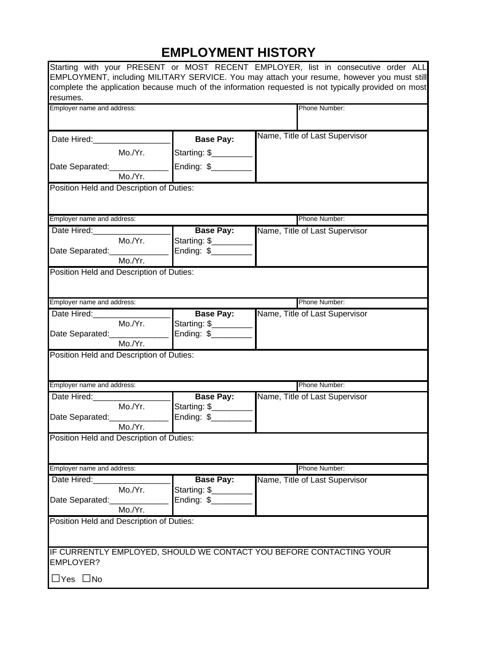## **EMPLOYMENT HISTORY**

|                                          |         |                     | Starting with your PRESENT or MOST RECENT EMPLOYER, list in consecutive order ALL<br>EMPLOYMENT, including MILITARY SERVICE. You may attach your resume, however you must still |
|------------------------------------------|---------|---------------------|---------------------------------------------------------------------------------------------------------------------------------------------------------------------------------|
|                                          |         |                     | complete the application because much of the information requested is not typically provided on most                                                                            |
| resumes.                                 |         |                     |                                                                                                                                                                                 |
| Employer name and address:               |         |                     | Phone Number:                                                                                                                                                                   |
|                                          |         |                     |                                                                                                                                                                                 |
| Date Hired: 1990                         |         | <b>Base Pay:</b>    | Name, Title of Last Supervisor                                                                                                                                                  |
|                                          | Mo./Yr. | Starting: \$        |                                                                                                                                                                                 |
| Date Separated:_________                 |         | Ending: \$_________ |                                                                                                                                                                                 |
|                                          | Mo./Yr. |                     |                                                                                                                                                                                 |
| Position Held and Description of Duties: |         |                     |                                                                                                                                                                                 |
|                                          |         |                     |                                                                                                                                                                                 |
| Employer name and address:               |         |                     | Phone Number:                                                                                                                                                                   |
| Date Hired:                              |         | <b>Base Pay:</b>    | Name, Title of Last Supervisor                                                                                                                                                  |
|                                          | Mo./Yr. | Starting: \$        |                                                                                                                                                                                 |
| Date Separated: ________                 |         | Ending: \$______    |                                                                                                                                                                                 |
|                                          | Mo./Yr. |                     |                                                                                                                                                                                 |
| Position Held and Description of Duties: |         |                     |                                                                                                                                                                                 |
|                                          |         |                     |                                                                                                                                                                                 |
| Employer name and address:               |         |                     | Phone Number:                                                                                                                                                                   |
| Date Hired:                              |         | <b>Base Pay:</b>    | Name, Title of Last Supervisor                                                                                                                                                  |
|                                          | Mo./Yr. | Starting: \$        |                                                                                                                                                                                 |
| Date Separated:                          |         | Ending: \$______    |                                                                                                                                                                                 |
|                                          | Mo./Yr. |                     |                                                                                                                                                                                 |
| Position Held and Description of Duties: |         |                     |                                                                                                                                                                                 |
|                                          |         |                     |                                                                                                                                                                                 |
| Employer name and address:               |         |                     | Phone Number:                                                                                                                                                                   |
| Date Hired:                              |         | <b>Base Pay:</b>    | Name, Title of Last Supervisor                                                                                                                                                  |
|                                          | Mo./Yr. | Starting: \$        |                                                                                                                                                                                 |
| Date Separated:________                  |         | Ending: \$______    |                                                                                                                                                                                 |
|                                          | Mo./Yr. |                     |                                                                                                                                                                                 |
| Position Held and Description of Duties: |         |                     |                                                                                                                                                                                 |
|                                          |         |                     |                                                                                                                                                                                 |
| Employer name and address:               |         |                     | Phone Number:                                                                                                                                                                   |
| Date Hired:                              |         | <b>Base Pay:</b>    | Name, Title of Last Supervisor                                                                                                                                                  |
|                                          | Mo./Yr. | Starting: \$        |                                                                                                                                                                                 |
| Date Separated:                          |         | Ending: \$          |                                                                                                                                                                                 |
|                                          | Mo./Yr. |                     |                                                                                                                                                                                 |
| Position Held and Description of Duties: |         |                     |                                                                                                                                                                                 |
|                                          |         |                     |                                                                                                                                                                                 |
|                                          |         |                     | IF CURRENTLY EMPLOYED, SHOULD WE CONTACT YOU BEFORE CONTACTING YOUR                                                                                                             |
| <b>EMPLOYER?</b>                         |         |                     |                                                                                                                                                                                 |
| $\Box$ Yes $\Box$ No                     |         |                     |                                                                                                                                                                                 |
|                                          |         |                     |                                                                                                                                                                                 |